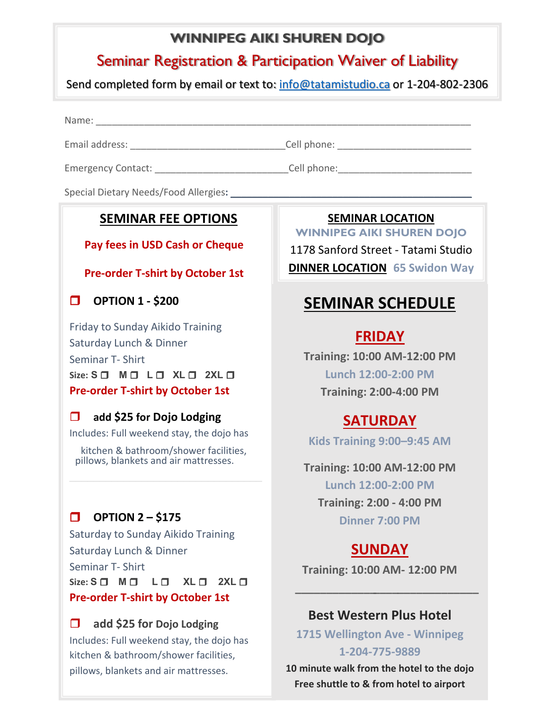## **WINNIPEG AIKI SHUREN DOJO**

## Seminar Registration & Participation Waiver of Liability

Send completed form by email or text to: [info@tatamistudio.ca](mailto:info@tatamistudio.ca) or 1-204-802-2306

Name:

Email address: \_\_\_\_\_\_\_\_\_\_\_\_\_\_\_\_\_\_\_\_\_\_\_\_\_\_\_\_\_Cell phone: \_\_\_\_\_\_\_\_\_\_\_\_\_\_\_\_\_\_\_\_\_\_\_\_\_

Emergency Contact: \_\_\_\_\_\_\_\_\_\_\_\_\_\_\_\_\_\_\_\_\_\_\_\_\_Cell phone:\_\_\_\_\_\_\_\_\_\_\_\_\_\_\_\_\_\_\_\_\_\_\_\_\_

Special Dietary Needs/Food Allergies**:** \_\_\_\_\_\_\_\_\_\_\_\_\_\_\_\_\_\_\_\_\_\_\_\_\_\_\_\_\_\_\_\_\_\_\_\_\_\_\_\_\_\_\_\_\_

## **SEMINAR FEE OPTIONS**

### **Pay fees in USD Cash or Cheque**

### **Pre-order T-shirt by October 1st**

**OPTION 1 - \$200**

Friday to Sunday Aikido Training Saturday Lunch & Dinner Seminar T- Shirt **Size: S M L XL** **2XL - Pre-order T-shirt by October 1st** 

### **add \$25 for Dojo Lodging**

Includes: Full weekend stay, the dojo has

kitchen & bathroom/shower facilities, pillows, blankets and air mattresses.

## **OPTION 2 – \$175**

**Size:**  $\begin{array}{ccc} 5 \square & M \square & L \square & XL \square & 2XL \square \end{array}$ Saturday to Sunday Aikido Training Saturday Lunch & Dinner Seminar T- Shirt **Pre-order T-shirt by October 1st** 

## **add \$25 for Dojo Lodging**

Includes: Full weekend stay, the dojo has kitchen & bathroom/shower facilities, pillows, blankets and air mattresses.

**SEMINAR LOCATION**

**WINNIPEG AIKI SHUREN DOJO** 1178 Sanford Street - Tatami Studio **DINNER LOCATION 65 Swidon Way** 

# **SEMINAR SCHEDULE**

## **FRIDAY**

**Training: 10:00 AM-12:00 PM Lunch 12:00-2:00 PM Training: 2:00-4:00 PM** 

## **SATURDAY**

**Kids Training 9:00–9:45 AM**

**Training: 10:00 AM-12:00 PM Lunch 12:00-2:00 PM Training: 2:00 - 4:00 PM Dinner 7:00 PM** 

# **SUNDAY**

**Training: 10:00 AM- 12:00 PM**  

**\_\_\_\_\_\_\_\_\_\_\_\_\_**

## **Best Western Plus Hotel**

**\_\_\_\_**

**\_\_\_\_\_\_\_\_\_\_\_\_\_**

**1715 Wellington Ave - Winnipeg 1-204-775-9889**

**10 minute walk from the hotel to the dojo Free shuttle to & from hotel to airport**